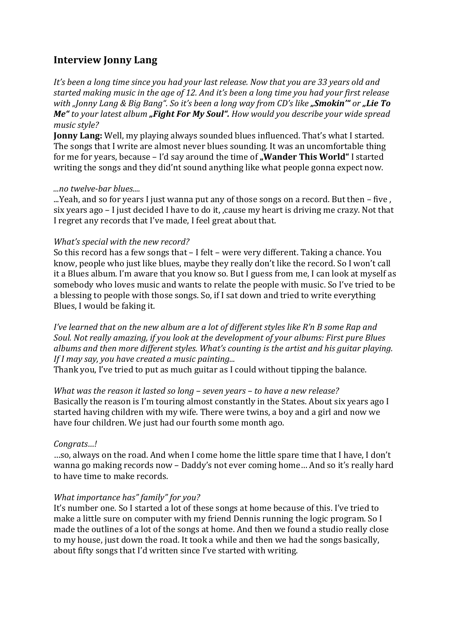# **Interview Jonny Lang**

*It's been a long time since you had your last release. Now that you are 33 years old and* started making music in the age of 12. And it's been a long time you had your first release *with%"Jonny%Lang%&%Big%Bang".%So%it's%been%a%long%way%from%CD's%like!"Smokin'" or!"Lie!To! Me*" to your latest album "Fight For My Soul". How would you describe your wide spread *music%style?*

**Jonny Lang:** Well, my playing always sounded blues influenced. That's what I started. The songs that I write are almost never blues sounding. It was an uncomfortable thing for me for years, because – I'd say around the time of **. Wander This World**" I started writing the songs and they did'nt sound anything like what people gonna expect now.

### *...no twelve-bar blues....*

...Yeah, and so for years I just wanna put any of those songs on a record. But then – five, six years ago – I just decided I have to do it, , cause my heart is driving me crazy. Not that I regret any records that I've made, I feel great about that.

## *What's special with the new record?*

So this record has a few songs that – I felt – were very different. Taking a chance. You know, people who just like blues, maybe they really don't like the record. So I won't call it a Blues album. I'm aware that you know so. But I guess from me, I can look at myself as somebody who loves music and wants to relate the people with music. So I've tried to be a blessing to people with those songs. So, if I sat down and tried to write everything Blues, I would be faking it.

*I've learned that on the new album are a lot of different styles like R'n B some Rap and Soul. Not really amazing, if you look at the development of your albums: First pure Blues* albums and then more different styles. What's counting is the artist and his guitar playing. *If I may say, you have created a music painting...* 

Thank you, I've tried to put as much guitar as I could without tipping the balance.

What was the reason it lasted so long - seven years - to have a new release? Basically the reason is I'm touring almost constantly in the States. About six years ago I started having children with my wife. There were twins, a boy and a girl and now we have four children. We just had our fourth some month ago.

### *Congrats…!*

...so, always on the road. And when I come home the little spare time that I have, I don't wanna go making records now – Daddy's not ever coming home... And so it's really hard to have time to make records.

### *What importance has" family" for you?*

It's number one. So I started a lot of these songs at home because of this. I've tried to make a little sure on computer with my friend Dennis running the logic program. So I made the outlines of a lot of the songs at home. And then we found a studio really close to my house, just down the road. It took a while and then we had the songs basically, about fifty songs that I'd written since I've started with writing.